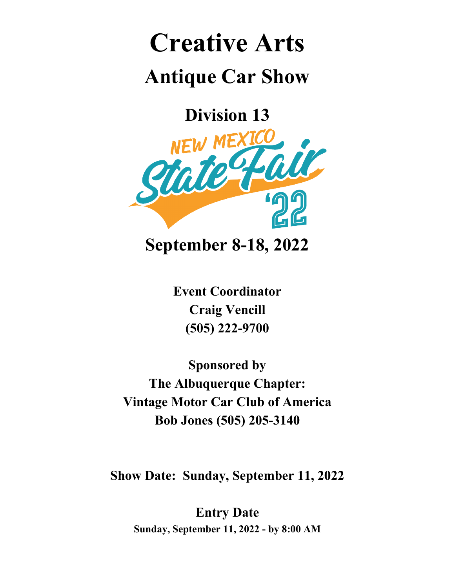# **Creative Arts Antique Car Show**

**Division 13**



**September 8-18, 2022**

**Event Coordinator Craig Vencill (505) 222-9700**

**Sponsored by The Albuquerque Chapter: Vintage Motor Car Club of America Bob Jones (505) 205-3140**

**Show Date: Sunday, September 11, 2022**

**Entry Date Sunday, September 11, 2022 - by 8:00 AM**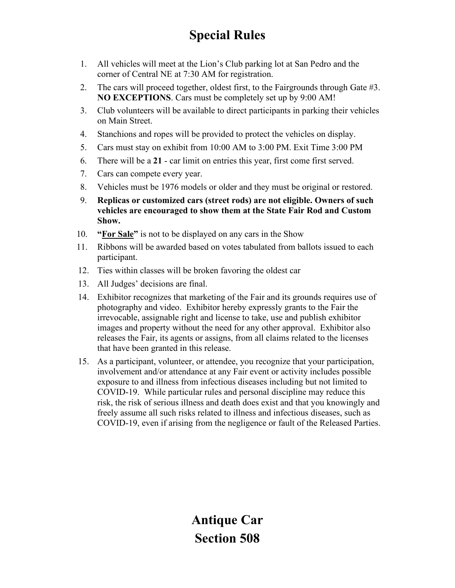## **Special Rules**

- 1. All vehicles will meet at the Lion's Club parking lot at San Pedro and the corner of Central NE at 7:30 AM for registration.
- 2. The cars will proceed together, oldest first, to the Fairgrounds through Gate #3. **NO EXCEPTIONS**. Cars must be completely set up by 9:00 AM!
- 3. Club volunteers will be available to direct participants in parking their vehicles on Main Street.
- 4. Stanchions and ropes will be provided to protect the vehicles on display.
- 5. Cars must stay on exhibit from 10:00 AM to 3:00 PM. Exit Time 3:00 PM
- 6. There will be a **21** car limit on entries this year, first come first served.
- 7. Cars can compete every year.
- 8. Vehicles must be 1976 models or older and they must be original or restored.
- 9. **Replicas or customized cars (street rods) are not eligible. Owners of such vehicles are encouraged to show them at the State Fair Rod and Custom Show.**
- 10. **"For Sale"** is not to be displayed on any cars in the Show
- 11. Ribbons will be awarded based on votes tabulated from ballots issued to each participant.
- 12. Ties within classes will be broken favoring the oldest car
- 13. All Judges' decisions are final.
- 14. Exhibitor recognizes that marketing of the Fair and its grounds requires use of photography and video. Exhibitor hereby expressly grants to the Fair the irrevocable, assignable right and license to take, use and publish exhibitor images and property without the need for any other approval. Exhibitor also releases the Fair, its agents or assigns, from all claims related to the licenses that have been granted in this release.
- 15. As a participant, volunteer, or attendee, you recognize that your participation, involvement and/or attendance at any Fair event or activity includes possible exposure to and illness from infectious diseases including but not limited to COVID-19. While particular rules and personal discipline may reduce this risk, the risk of serious illness and death does exist and that you knowingly and freely assume all such risks related to illness and infectious diseases, such as COVID-19, even if arising from the negligence or fault of the Released Parties.

**Antique Car Section 508**